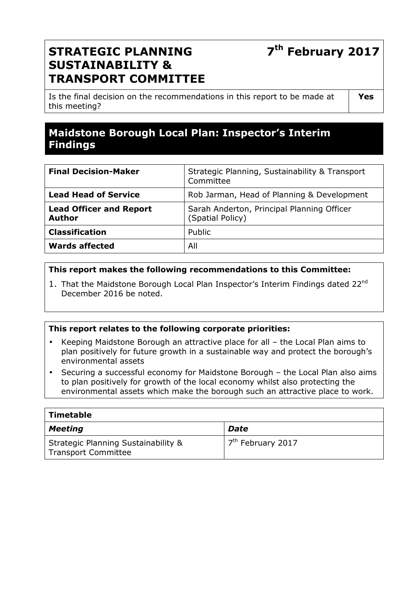# **7 th February 2017**

## **STRATEGIC PLANNING SUSTAINABILITY & TRANSPORT COMMITTEE**

Is the final decision on the recommendations in this report to be made at this meeting?

**Yes** 

## **Maidstone Borough Local Plan: Inspector's Interim Findings**

| <b>Final Decision-Maker</b>                     | Strategic Planning, Sustainability & Transport<br>Committee    |
|-------------------------------------------------|----------------------------------------------------------------|
| <b>Lead Head of Service</b>                     | Rob Jarman, Head of Planning & Development                     |
| <b>Lead Officer and Report</b><br><b>Author</b> | Sarah Anderton, Principal Planning Officer<br>(Spatial Policy) |
| <b>Classification</b>                           | Public                                                         |
| <b>Wards affected</b>                           | All                                                            |

## **This report makes the following recommendations to this Committee:**

1. That the Maidstone Borough Local Plan Inspector's Interim Findings dated 22<sup>nd</sup> December 2016 be noted.

#### **This report relates to the following corporate priorities:**

- Keeping Maidstone Borough an attractive place for all the Local Plan aims to plan positively for future growth in a sustainable way and protect the borough's environmental assets
- Securing a successful economy for Maidstone Borough the Local Plan also aims to plan positively for growth of the local economy whilst also protecting the environmental assets which make the borough such an attractive place to work.

| <b>Timetable</b>                                                  |                                |
|-------------------------------------------------------------------|--------------------------------|
| <b>Meeting</b>                                                    | Date                           |
| Strategic Planning Sustainability &<br><b>Transport Committee</b> | 17 <sup>th</sup> February 2017 |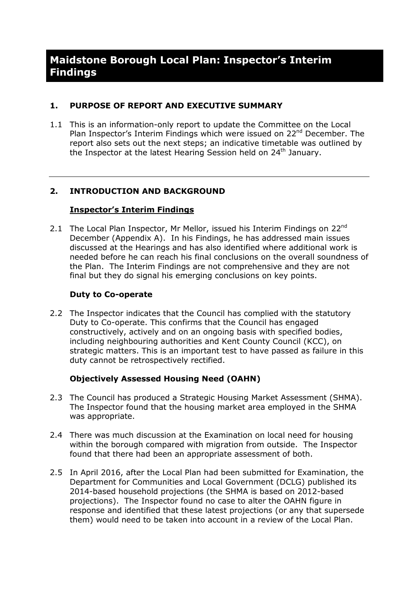## **1. PURPOSE OF REPORT AND EXECUTIVE SUMMARY**

1.1 This is an information-only report to update the Committee on the Local Plan Inspector's Interim Findings which were issued on 22<sup>nd</sup> December. The report also sets out the next steps; an indicative timetable was outlined by the Inspector at the latest Hearing Session held on  $24<sup>th</sup>$  January.

## **2. INTRODUCTION AND BACKGROUND**

#### **Inspector's Interim Findings**

2.1 The Local Plan Inspector, Mr Mellor, issued his Interim Findings on 22<sup>nd</sup> December (Appendix A). In his Findings, he has addressed main issues discussed at the Hearings and has also identified where additional work is needed before he can reach his final conclusions on the overall soundness of the Plan. The Interim Findings are not comprehensive and they are not final but they do signal his emerging conclusions on key points.

#### **Duty to Co-operate**

2.2 The Inspector indicates that the Council has complied with the statutory Duty to Co-operate. This confirms that the Council has engaged constructively, actively and on an ongoing basis with specified bodies, including neighbouring authorities and Kent County Council (KCC), on strategic matters. This is an important test to have passed as failure in this duty cannot be retrospectively rectified.

## **Objectively Assessed Housing Need (OAHN)**

- 2.3 The Council has produced a Strategic Housing Market Assessment (SHMA). The Inspector found that the housing market area employed in the SHMA was appropriate.
- 2.4 There was much discussion at the Examination on local need for housing within the borough compared with migration from outside. The Inspector found that there had been an appropriate assessment of both.
- 2.5 In April 2016, after the Local Plan had been submitted for Examination, the Department for Communities and Local Government (DCLG) published its 2014-based household projections (the SHMA is based on 2012-based projections). The Inspector found no case to alter the OAHN figure in response and identified that these latest projections (or any that supersede them) would need to be taken into account in a review of the Local Plan.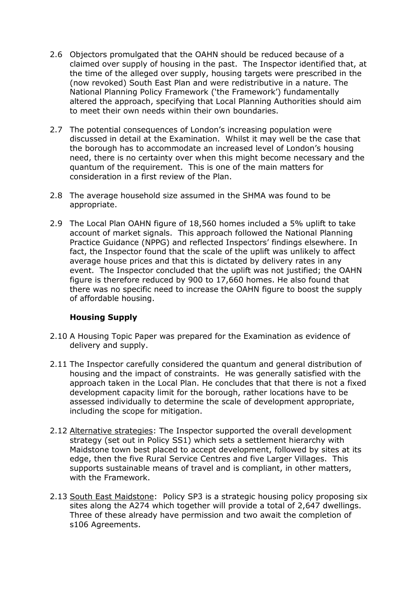- 2.6 Objectors promulgated that the OAHN should be reduced because of a claimed over supply of housing in the past. The Inspector identified that, at the time of the alleged over supply, housing targets were prescribed in the (now revoked) South East Plan and were redistributive in a nature. The National Planning Policy Framework ('the Framework') fundamentally altered the approach, specifying that Local Planning Authorities should aim to meet their own needs within their own boundaries.
- 2.7 The potential consequences of London's increasing population were discussed in detail at the Examination. Whilst it may well be the case that the borough has to accommodate an increased level of London's housing need, there is no certainty over when this might become necessary and the quantum of the requirement. This is one of the main matters for consideration in a first review of the Plan.
- 2.8 The average household size assumed in the SHMA was found to be appropriate.
- 2.9 The Local Plan OAHN figure of 18,560 homes included a 5% uplift to take account of market signals. This approach followed the National Planning Practice Guidance (NPPG) and reflected Inspectors' findings elsewhere. In fact, the Inspector found that the scale of the uplift was unlikely to affect average house prices and that this is dictated by delivery rates in any event. The Inspector concluded that the uplift was not justified; the OAHN figure is therefore reduced by 900 to 17,660 homes. He also found that there was no specific need to increase the OAHN figure to boost the supply of affordable housing.

#### **Housing Supply**

- 2.10 A Housing Topic Paper was prepared for the Examination as evidence of delivery and supply.
- 2.11 The Inspector carefully considered the quantum and general distribution of housing and the impact of constraints. He was generally satisfied with the approach taken in the Local Plan. He concludes that that there is not a fixed development capacity limit for the borough, rather locations have to be assessed individually to determine the scale of development appropriate, including the scope for mitigation.
- 2.12 Alternative strategies: The Inspector supported the overall development strategy (set out in Policy SS1) which sets a settlement hierarchy with Maidstone town best placed to accept development, followed by sites at its edge, then the five Rural Service Centres and five Larger Villages. This supports sustainable means of travel and is compliant, in other matters, with the Framework.
- 2.13 South East Maidstone: Policy SP3 is a strategic housing policy proposing six sites along the A274 which together will provide a total of 2,647 dwellings. Three of these already have permission and two await the completion of s106 Agreements.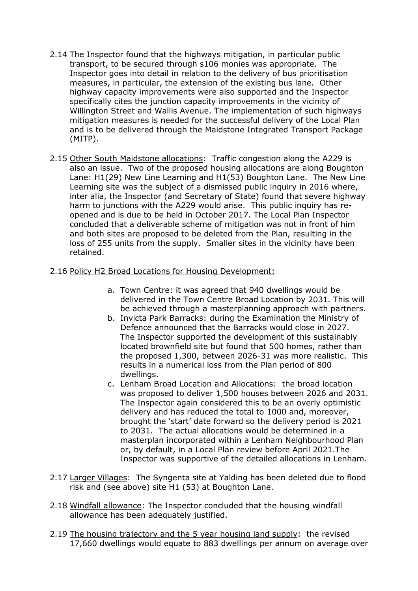- 2.14 The Inspector found that the highways mitigation, in particular public transport, to be secured through s106 monies was appropriate. The Inspector goes into detail in relation to the delivery of bus prioritisation measures, in particular, the extension of the existing bus lane. Other highway capacity improvements were also supported and the Inspector specifically cites the junction capacity improvements in the vicinity of Willington Street and Wallis Avenue. The implementation of such highways mitigation measures is needed for the successful delivery of the Local Plan and is to be delivered through the Maidstone Integrated Transport Package (MITP).
- 2.15 Other South Maidstone allocations: Traffic congestion along the A229 is also an issue. Two of the proposed housing allocations are along Boughton Lane: H1(29) New Line Learning and H1(53) Boughton Lane. The New Line Learning site was the subject of a dismissed public inquiry in 2016 where, inter alia, the Inspector (and Secretary of State) found that severe highway harm to junctions with the A229 would arise. This public inquiry has reopened and is due to be held in October 2017. The Local Plan Inspector concluded that a deliverable scheme of mitigation was not in front of him and both sites are proposed to be deleted from the Plan, resulting in the loss of 255 units from the supply. Smaller sites in the vicinity have been retained.

#### 2.16 Policy H2 Broad Locations for Housing Development:

- a. Town Centre: it was agreed that 940 dwellings would be delivered in the Town Centre Broad Location by 2031. This will be achieved through a masterplanning approach with partners.
- b. Invicta Park Barracks: during the Examination the Ministry of Defence announced that the Barracks would close in 2027. The Inspector supported the development of this sustainably located brownfield site but found that 500 homes, rather than the proposed 1,300, between 2026-31 was more realistic. This results in a numerical loss from the Plan period of 800 dwellings.
- c. Lenham Broad Location and Allocations: the broad location was proposed to deliver 1,500 houses between 2026 and 2031. The Inspector again considered this to be an overly optimistic delivery and has reduced the total to 1000 and, moreover, brought the 'start' date forward so the delivery period is 2021 to 2031. The actual allocations would be determined in a masterplan incorporated within a Lenham Neighbourhood Plan or, by default, in a Local Plan review before April 2021.The Inspector was supportive of the detailed allocations in Lenham.
- 2.17 Larger Villages: The Syngenta site at Yalding has been deleted due to flood risk and (see above) site H1 (53) at Boughton Lane.
- 2.18 Windfall allowance: The Inspector concluded that the housing windfall allowance has been adequately justified.
- 2.19 The housing trajectory and the 5 year housing land supply: the revised 17,660 dwellings would equate to 883 dwellings per annum on average over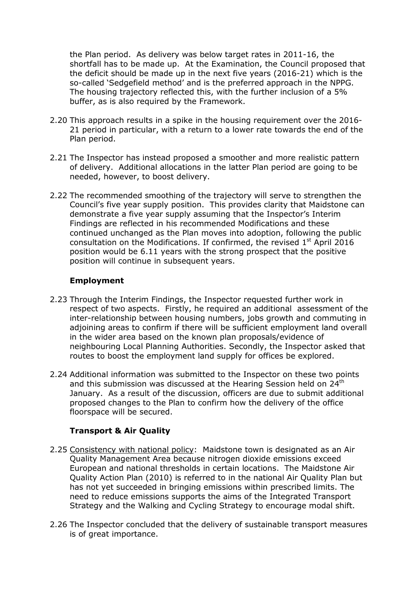the Plan period. As delivery was below target rates in 2011-16, the shortfall has to be made up. At the Examination, the Council proposed that the deficit should be made up in the next five years (2016-21) which is the so-called 'Sedgefield method' and is the preferred approach in the NPPG. The housing trajectory reflected this, with the further inclusion of a 5% buffer, as is also required by the Framework.

- 2.20 This approach results in a spike in the housing requirement over the 2016- 21 period in particular, with a return to a lower rate towards the end of the Plan period.
- 2.21 The Inspector has instead proposed a smoother and more realistic pattern of delivery. Additional allocations in the latter Plan period are going to be needed, however, to boost delivery.
- 2.22 The recommended smoothing of the trajectory will serve to strengthen the Council's five year supply position. This provides clarity that Maidstone can demonstrate a five year supply assuming that the Inspector's Interim Findings are reflected in his recommended Modifications and these continued unchanged as the Plan moves into adoption, following the public consultation on the Modifications. If confirmed, the revised  $1<sup>st</sup>$  April 2016 position would be 6.11 years with the strong prospect that the positive position will continue in subsequent years.

## **Employment**

- 2.23 Through the Interim Findings, the Inspector requested further work in respect of two aspects. Firstly, he required an additional assessment of the inter-relationship between housing numbers, jobs growth and commuting in adjoining areas to confirm if there will be sufficient employment land overall in the wider area based on the known plan proposals/evidence of neighbouring Local Planning Authorities. Secondly, the Inspector asked that routes to boost the employment land supply for offices be explored.
- 2.24 Additional information was submitted to the Inspector on these two points and this submission was discussed at the Hearing Session held on 24<sup>th</sup> January. As a result of the discussion, officers are due to submit additional proposed changes to the Plan to confirm how the delivery of the office floorspace will be secured.

## **Transport & Air Quality**

- 2.25 Consistency with national policy: Maidstone town is designated as an Air Quality Management Area because nitrogen dioxide emissions exceed European and national thresholds in certain locations. The Maidstone Air Quality Action Plan (2010) is referred to in the national Air Quality Plan but has not yet succeeded in bringing emissions within prescribed limits. The need to reduce emissions supports the aims of the Integrated Transport Strategy and the Walking and Cycling Strategy to encourage modal shift.
- 2.26 The Inspector concluded that the delivery of sustainable transport measures is of great importance.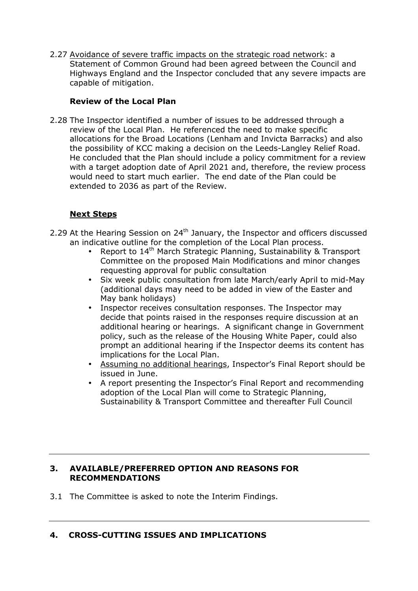2.27 Avoidance of severe traffic impacts on the strategic road network: a Statement of Common Ground had been agreed between the Council and Highways England and the Inspector concluded that any severe impacts are capable of mitigation.

## **Review of the Local Plan**

2.28 The Inspector identified a number of issues to be addressed through a review of the Local Plan. He referenced the need to make specific allocations for the Broad Locations (Lenham and Invicta Barracks) and also the possibility of KCC making a decision on the Leeds-Langley Relief Road. He concluded that the Plan should include a policy commitment for a review with a target adoption date of April 2021 and, therefore, the review process would need to start much earlier. The end date of the Plan could be extended to 2036 as part of the Review.

## **Next Steps**

- 2.29 At the Hearing Session on  $24<sup>th</sup>$  January, the Inspector and officers discussed an indicative outline for the completion of the Local Plan process.
	- Report to  $14<sup>th</sup>$  March Strategic Planning, Sustainability & Transport Committee on the proposed Main Modifications and minor changes requesting approval for public consultation
	- Six week public consultation from late March/early April to mid-May (additional days may need to be added in view of the Easter and May bank holidays)
	- Inspector receives consultation responses. The Inspector may decide that points raised in the responses require discussion at an additional hearing or hearings. A significant change in Government policy, such as the release of the Housing White Paper, could also prompt an additional hearing if the Inspector deems its content has implications for the Local Plan.
	- Assuming no additional hearings, Inspector's Final Report should be issued in June.
	- A report presenting the Inspector's Final Report and recommending adoption of the Local Plan will come to Strategic Planning, Sustainability & Transport Committee and thereafter Full Council

#### **3. AVAILABLE/PREFERRED OPTION AND REASONS FOR RECOMMENDATIONS**

3.1 The Committee is asked to note the Interim Findings.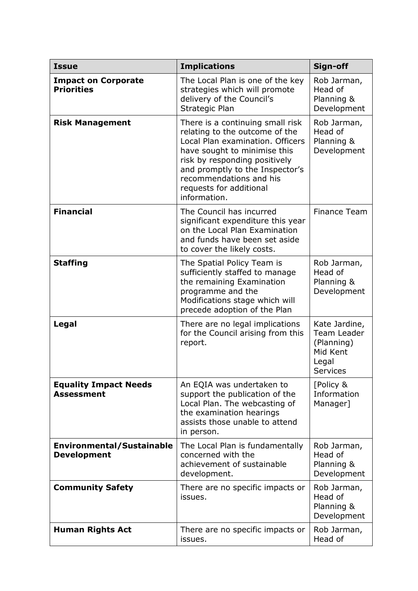| <b>Issue</b>                                           | <b>Implications</b>                                                                                                                                                                                                                                                              | Sign-off                                                                           |
|--------------------------------------------------------|----------------------------------------------------------------------------------------------------------------------------------------------------------------------------------------------------------------------------------------------------------------------------------|------------------------------------------------------------------------------------|
| <b>Impact on Corporate</b><br><b>Priorities</b>        | The Local Plan is one of the key<br>strategies which will promote<br>delivery of the Council's<br>Strategic Plan                                                                                                                                                                 | Rob Jarman,<br>Head of<br>Planning &<br>Development                                |
| <b>Risk Management</b>                                 | There is a continuing small risk<br>relating to the outcome of the<br>Local Plan examination. Officers<br>have sought to minimise this<br>risk by responding positively<br>and promptly to the Inspector's<br>recommendations and his<br>requests for additional<br>information. | Rob Jarman,<br>Head of<br>Planning &<br>Development                                |
| <b>Financial</b>                                       | The Council has incurred<br>significant expenditure this year<br>on the Local Plan Examination<br>and funds have been set aside<br>to cover the likely costs.                                                                                                                    | <b>Finance Team</b>                                                                |
| <b>Staffing</b>                                        | The Spatial Policy Team is<br>sufficiently staffed to manage<br>the remaining Examination<br>programme and the<br>Modifications stage which will<br>precede adoption of the Plan                                                                                                 | Rob Jarman,<br>Head of<br>Planning &<br>Development                                |
| Legal                                                  | There are no legal implications<br>for the Council arising from this<br>report.                                                                                                                                                                                                  | Kate Jardine,<br>Team Leader<br>(Planning)<br>Mid Kent<br>Legal<br><b>Services</b> |
| <b>Equality Impact Needs</b><br><b>Assessment</b>      | An EQIA was undertaken to<br>support the publication of the<br>Local Plan. The webcasting of<br>the examination hearings<br>assists those unable to attend<br>in person.                                                                                                         | [Policy &<br>Information<br>Manager]                                               |
| <b>Environmental/Sustainable</b><br><b>Development</b> | The Local Plan is fundamentally<br>concerned with the<br>achievement of sustainable<br>development.                                                                                                                                                                              | Rob Jarman,<br>Head of<br>Planning &<br>Development                                |
| <b>Community Safety</b>                                | There are no specific impacts or<br>issues.                                                                                                                                                                                                                                      | Rob Jarman,<br>Head of<br>Planning &<br>Development                                |
| <b>Human Rights Act</b>                                | There are no specific impacts or<br>issues.                                                                                                                                                                                                                                      | Rob Jarman,<br>Head of                                                             |